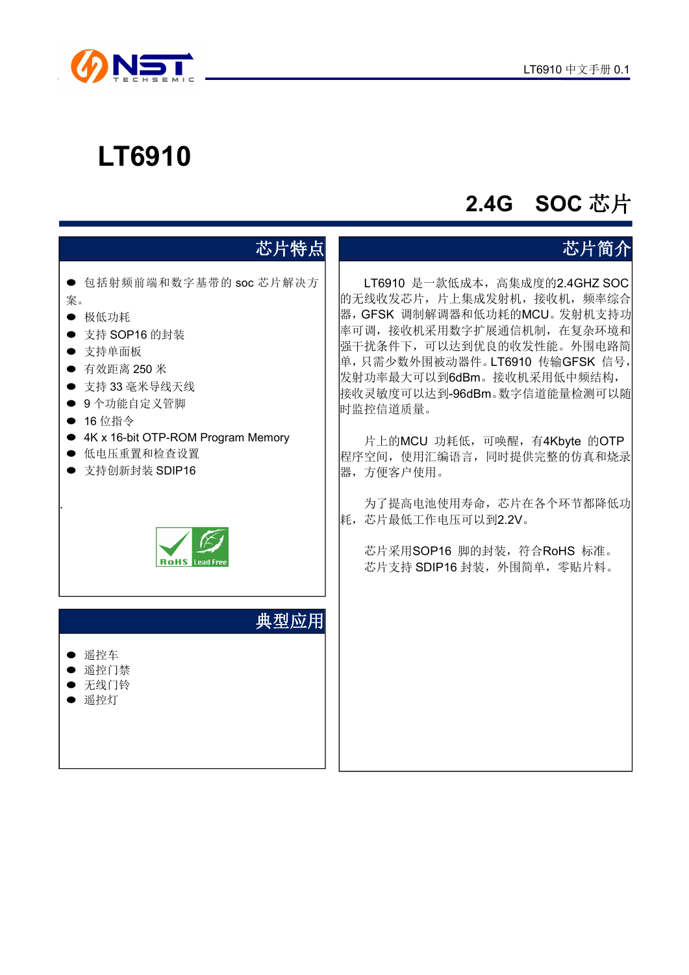

# **LT6910**

## **2.4G SOC** 芯片

## 芯片特点 ● 包括射频前端和数字基带的 soc 芯片解决方 案。 ● 极低功耗 ● 支持 SOP16 的封装 支持单面板 ● 有效距离 250 米 ● 支持 33 毫米导线天线 ● 9个功能自定义管脚 ● 16 位指令 ● 4K x 16-bit OTP-ROM Program Memory ● 低电压重置和检查设置 ● 支持创新封装 SDIP16 . 典型应用 ● 遥控车 ● 谣控门禁 无线门铃 ● 遥控灯

### 芯片简介

LT6910 是一款低成本,高集成度的2.4GHZ SOC 的无线收发芯片,片上集成发射机,接收机,频率综合 器,GFSK 调制解调器和低功耗的MCU。发射机支持功 率可调,接收机采用数字扩展通信机制,在复杂环境和 强干扰条件下,可以达到优良的收发性能。外围电路简 单,只需少数外围被动器件。LT6910 传输GFSK 信号, 发射功率最大可以到6dBm。接收机采用低中频结构, 接收灵敏度可以达到-96dBm。数字信道能量检测可以随 时监控信道质量。

片上的MCU 功耗低,可唤醒,有4Kbyte 的OTP 程序空间,使用汇编语言,同时提供完整的仿真和烧录 器,方便客户使用。

为了提高电池使用寿命,芯片在各个环节都降低功 耗,芯片最低工作电压可以到2.2V。

芯片采用SOP16 脚的封装,符合RoHS 标准。 芯片支持 SDIP16 封装, 外围简单, 零贴片料。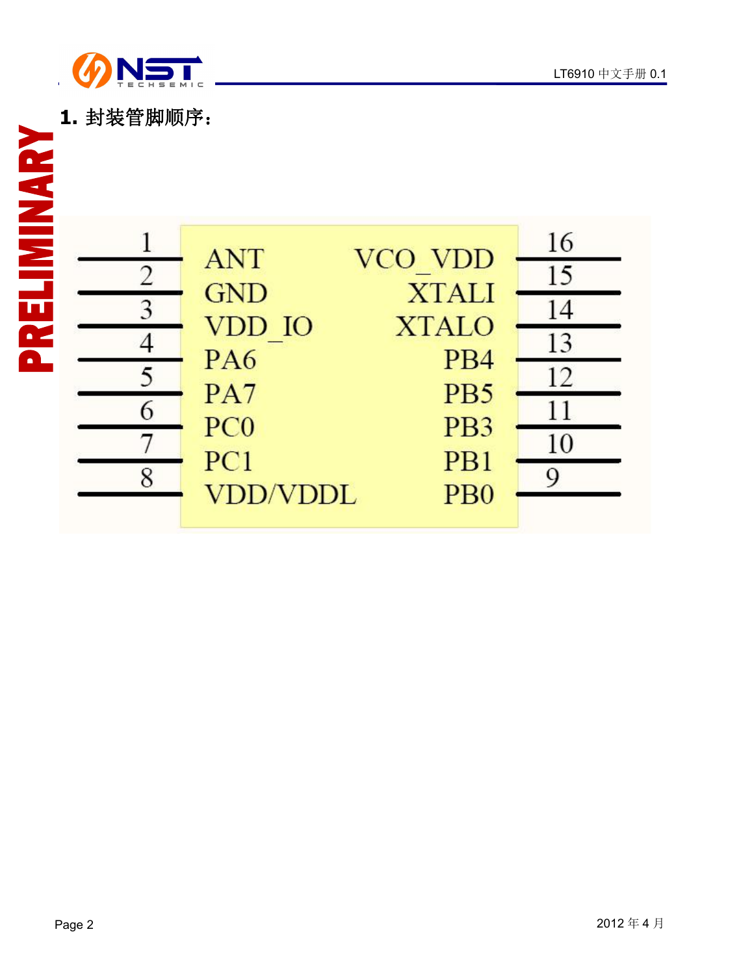



| 1. 封装管脚顺序:     |                 |                             |    |
|----------------|-----------------|-----------------------------|----|
| ELIMINARY      | <b>ANT</b>      | VCO VDD                     | 16 |
| $\overline{2}$ | <b>GND</b>      | <b>XTALI</b>                | 15 |
| 3              | VDD IO          | <b>XTALO</b>                | 14 |
| n.             | PA <sub>6</sub> | P <sub>B4</sub>             | 13 |
| $\blacksquare$ | PA7             | PB5                         | 12 |
| 5              | PC <sub>0</sub> | P <sub>B</sub> 3            | 11 |
| 6              | PC1             | P <sub>B1</sub>             | 10 |
| $\mathsf R$    | <b>VDD/VDDL</b> | P <sub>B</sub> <sup>0</sup> | Q  |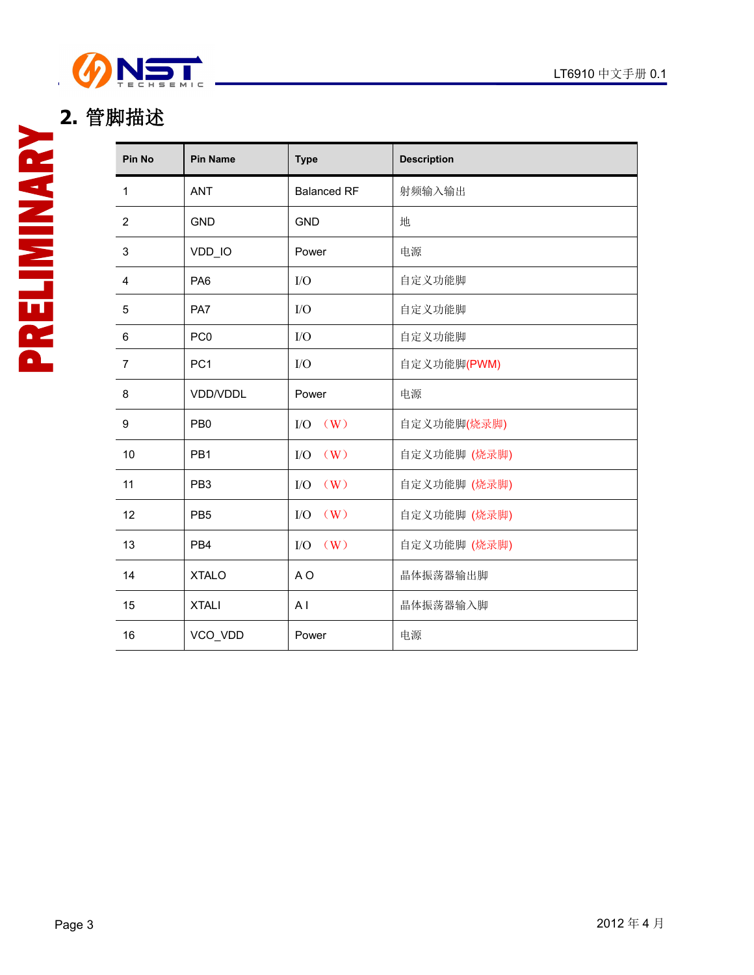

## **2.** 管脚描述

| <b>Pin No</b>  | <b>Pin Name</b> | <b>Type</b>        | <b>Description</b> |  |
|----------------|-----------------|--------------------|--------------------|--|
| $\mathbf{1}$   | <b>ANT</b>      | <b>Balanced RF</b> | 射频输入输出             |  |
| $\overline{2}$ | <b>GND</b>      | <b>GND</b>         | 地                  |  |
| 3              | VDD_IO          | Power              | 电源                 |  |
| $\overline{4}$ | PA <sub>6</sub> | I/O                | 自定义功能脚             |  |
| 5              | PA7             | $\rm LO$           | 自定义功能脚             |  |
| 6              | PC <sub>0</sub> | $\rm LO$           | 自定义功能脚             |  |
| $\overline{7}$ | PC <sub>1</sub> | I/O                | 自定义功能脚(PWM)        |  |
| 8              | VDD/VDDL        | Power              | 电源                 |  |
| 9              | PB <sub>0</sub> | $I/O$ $(W)$        | 自定义功能脚(烧录脚)        |  |
| 10             | PB1             | $\rm I/O$<br>(W)   | 自定义功能脚 (烧录脚)       |  |
| 11             | PB <sub>3</sub> | (W)<br>$\rm LO$    | 自定义功能脚 (烧录脚)       |  |
| 12             | PB <sub>5</sub> | $\rm LO$<br>(W)    | 自定义功能脚 (烧录脚)       |  |
| 13             | PB4             | $I/O$ $(W)$        | 自定义功能脚 (烧录脚)       |  |
| 14             | <b>XTALO</b>    | A O                | 晶体振荡器输出脚           |  |
| 15             | <b>XTALI</b>    | A <sub>1</sub>     | 晶体振荡器输入脚           |  |
| 16             | VCO_VDD         | Power              | 电源                 |  |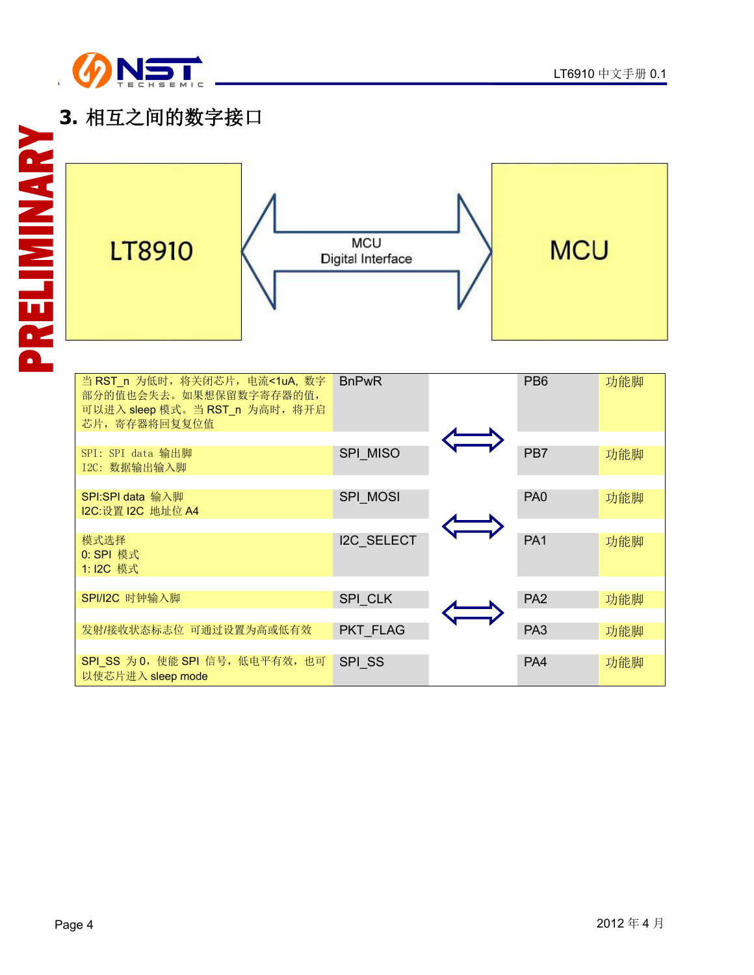

### **3.** 相互之间的数字接口

| ۰<br>2<br>$\blacksquare$ | <b>LT8910</b>                                                                                               | <b>MCU</b><br>Digital Interface | <b>MCU</b>           |
|--------------------------|-------------------------------------------------------------------------------------------------------------|---------------------------------|----------------------|
|                          |                                                                                                             |                                 |                      |
|                          | 当 RST_n 为低时, 将关闭芯片, 电流<1uA, 数字<br>部分的值也会失去。如果想保留数字寄存器的值,<br>可以进入 sleep 模式。当 RST_n 为高时, 将开启<br>芯片, 寄存器将回复复位值 | <b>BnPwR</b>                    | PB <sub>6</sub><br>Į |

| 当 RST_n 为低时, 将关闭芯片, 电流<1uA, 数字<br>部分的值也会失去。如果想保留数字寄存器的值,<br>可以进入 sleep 模式。当 RST_n 为高时, 将开启<br>芯片, 寄存器将回复复位值 | <b>BnPwR</b>      | PB <sub>6</sub> | 功能脚 |
|-------------------------------------------------------------------------------------------------------------|-------------------|-----------------|-----|
| SPI: SPI data 输出脚<br>I2C: 数据输出输入脚                                                                           | SPI MISO          | PB7             | 功能脚 |
| SPI:SPI data 输入脚<br>I2C:设置 I2C 地址位 A4                                                                       | SPI MOSI          | PA <sub>0</sub> | 功能脚 |
| 模式选择<br>0: SPI 模式<br>1: I2C 模式                                                                              | <b>I2C SELECT</b> | PA <sub>1</sub> | 功能脚 |
| SPI/I2C 时钟输入脚                                                                                               | SPI CLK           | PA <sub>2</sub> | 功能脚 |
| 发射/接收状态标志位 可通过设置为高或低有效                                                                                      | PKT FLAG          | PA <sub>3</sub> | 功能脚 |
| SPI_SS 为 0, 使能 SPI 信号, 低电平有效, 也可<br>以使芯片进入 sleep mode                                                       | SPI SS            | PA4             | 功能脚 |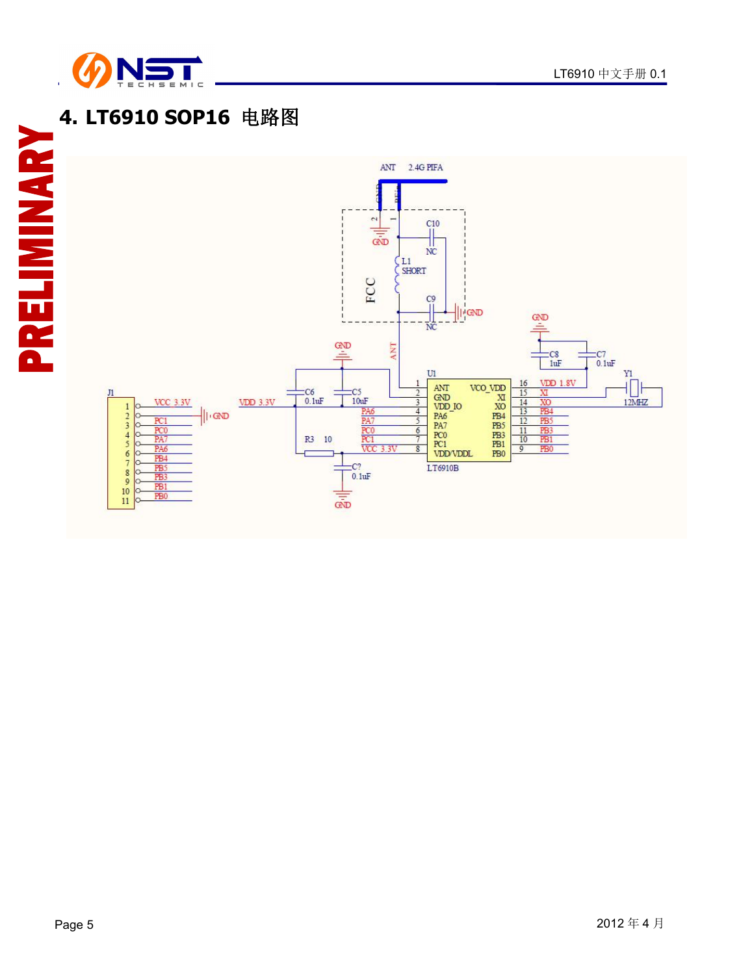

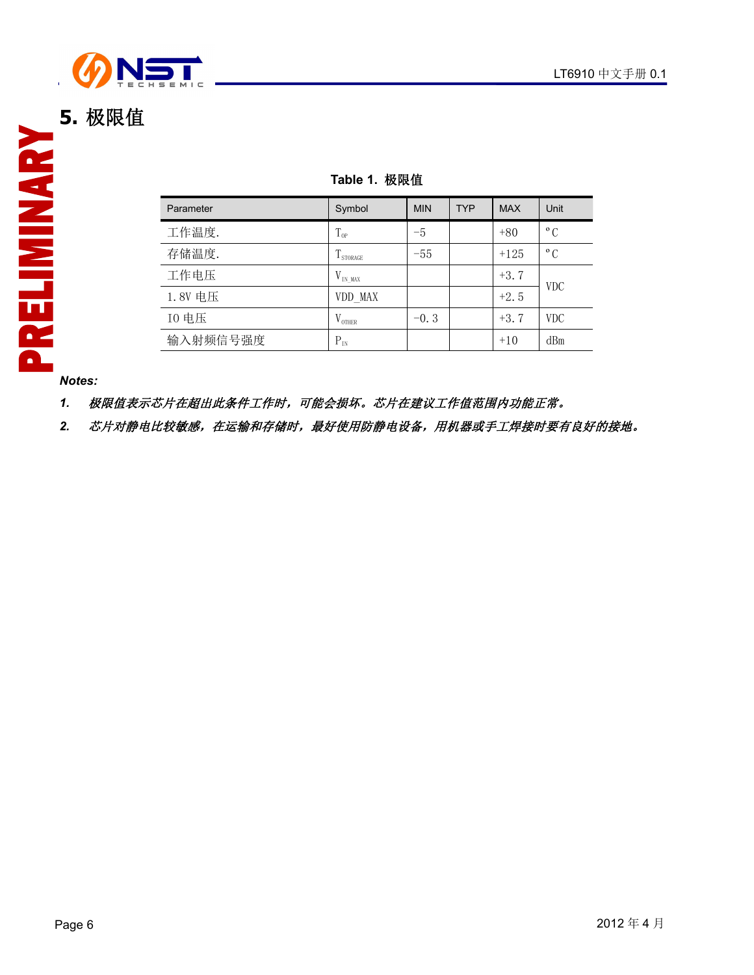

| Table 1. 极限值 |  |  |  |  |
|--------------|--|--|--|--|
|--------------|--|--|--|--|

| Parameter | Symbol             | <b>MIN</b> | <b>TYP</b> | <b>MAX</b> | Unit         |
|-----------|--------------------|------------|------------|------------|--------------|
| 工作温度.     | $T_{\rm OP}$       | $-5$       |            | $+80$      | $^{\circ}$ C |
| 存储温度.     | I STORAGE          | $-55$      |            | $+125$     | $^{\circ}$ C |
| 工作电压      | $V_{INMAX}$        |            |            | $+3.7$     | <b>VDC</b>   |
| 1.8V 电压   | VDD MAX            |            |            | $+2.5$     |              |
| 10 电压     | $V_{\text{OTHER}}$ | $-0.3$     |            | $+3.7$     | <b>VDC</b>   |
| 输入射频信号强度  | $P_{IN}$           |            |            | $+10$      | dBm          |

*Notes:*

*1.* 极限值表示芯片在超出此条件工作时,可能会损坏。芯片在建议工作值范围内功能正常。

2. 芯片对静电比较敏感,在运输和存储时,最好使用防静电设备,用机器或手工焊接时要有良好的接地。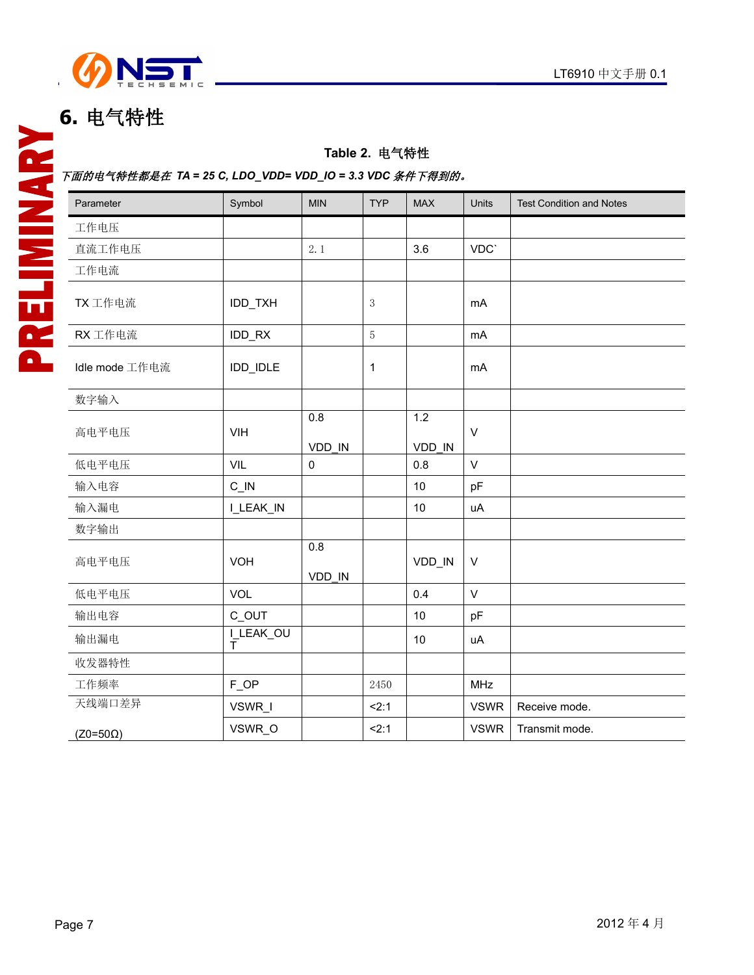

### **6.** 电气特性

### **Table 2.** 电气特性

### 下面的电气特性都是在 *TA = 25 C, LDO\_VDD= VDD\_IO = 3.3 VDC* 条件下得到的。

| Parameter       | Symbol                    | <b>MIN</b>    | <b>TYP</b>  | <b>MAX</b>                 | Units       | <b>Test Condition and Notes</b> |
|-----------------|---------------------------|---------------|-------------|----------------------------|-------------|---------------------------------|
| 工作电压            |                           |               |             |                            |             |                                 |
| 直流工作电压          |                           | 2.1           |             | 3.6                        | VDC`        |                                 |
| 工作电流            |                           |               |             |                            |             |                                 |
| TX 工作电流         | IDD_TXH                   |               | $\sqrt{3}$  |                            | mA          |                                 |
| RX 工作电流         | IDD_RX                    |               | $\sqrt{5}$  |                            | mA          |                                 |
| Idle mode 工作电流  | IDD_IDLE                  |               | $\mathbf 1$ |                            | <b>mA</b>   |                                 |
| 数字输入            |                           |               |             |                            |             |                                 |
| 高电平电压           | VIH                       | 0.8<br>VDD IN |             | $\overline{1.2}$<br>VDD IN | $\vee$      |                                 |
| 低电平电压           | VIL                       | $\mathbf 0$   |             | 0.8                        | $\vee$      |                                 |
| 输入电容            | $C$ <sub>IN</sub>         |               |             | 10                         | pF          |                                 |
| 输入漏电            | I_LEAK_IN                 |               |             | 10                         | uA          |                                 |
| 数字输出            |                           |               |             |                            |             |                                 |
| 高电平电压           | <b>VOH</b>                | 0.8<br>VDD IN |             | VDD_IN                     | $\vee$      |                                 |
| 低电平电压           | VOL                       |               |             | 0.4                        | $\vee$      |                                 |
| 输出电容            | C_OUT                     |               |             | 10                         | pF          |                                 |
| 输出漏电            | I_LEAK_OU<br>$\bar{\tau}$ |               |             | 10                         | uA          |                                 |
| 收发器特性           |                           |               |             |                            |             |                                 |
| 工作频率            | FOP                       |               | 2450        |                            | MHz         |                                 |
| 天线端口差异          | VSWR_I                    |               | 2:1         |                            | <b>VSWR</b> | Receive mode.                   |
| $(Z0=50\Omega)$ | VSWR_O                    |               | 2:1         |                            | <b>VSWR</b> | Transmit mode.                  |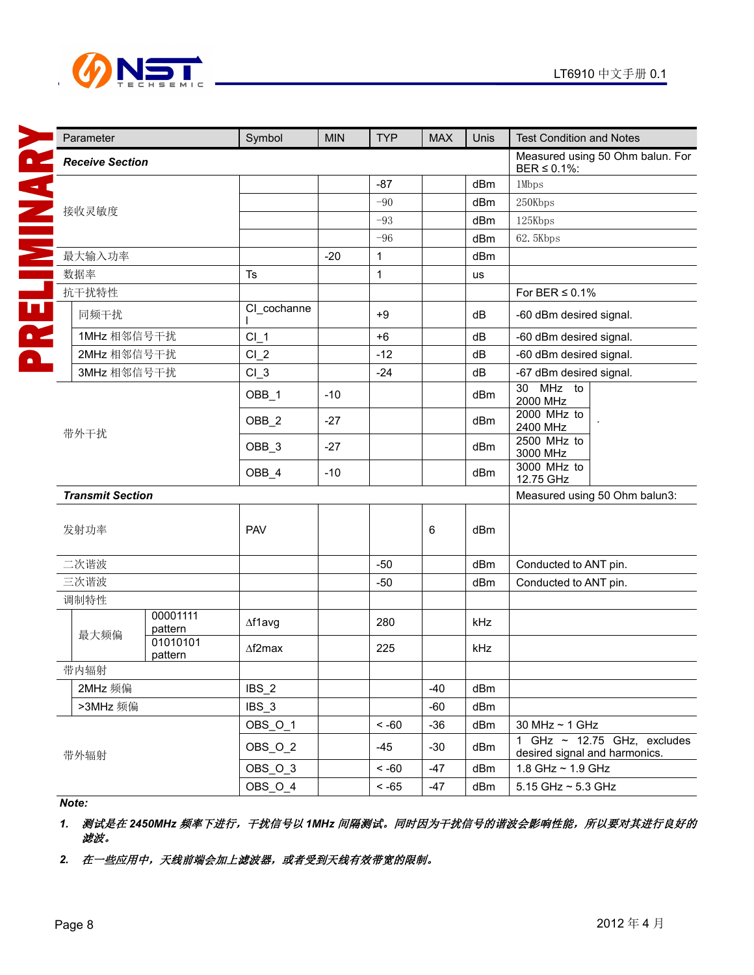



**The property** 

 $\mathbb{R}^2$ 

| Parameter               |                     | Symbol          | <b>MIN</b> | <b>TYP</b>   | <b>MAX</b> | Unis | <b>Test Condition and Notes</b>                                   |  |  |
|-------------------------|---------------------|-----------------|------------|--------------|------------|------|-------------------------------------------------------------------|--|--|
| <b>Receive Section</b>  |                     |                 |            |              |            |      | Measured using 50 Ohm balun. For<br>$BER \le 0.1\%$ :             |  |  |
|                         |                     |                 |            | $-87$        |            | dBm  | 1Mbps                                                             |  |  |
|                         |                     |                 |            | $-90$        |            | dBm  | 250Kbps                                                           |  |  |
| 接收灵敏度                   |                     |                 |            | $-93$        |            | dBm  | 125Kbps                                                           |  |  |
|                         |                     |                 |            | $-96$        |            | dBm  | 62.5Kbps                                                          |  |  |
| 最大输入功率                  |                     |                 | $-20$      | $\mathbf{1}$ |            | dBm  |                                                                   |  |  |
| 数据率                     |                     | Ts              |            | $\mathbf 1$  |            | us   |                                                                   |  |  |
| 抗干扰特性                   |                     |                 |            |              |            |      | For BER $\leq$ 0.1%                                               |  |  |
| 同频干扰                    |                     | CI_cochanne     |            | $+9$         |            | dB   | -60 dBm desired signal.                                           |  |  |
| 1MHz 相邻信号干扰             |                     | $CI_1$          |            | $+6$         |            | dB   | -60 dBm desired signal.                                           |  |  |
| 2MHz 相邻信号干扰             |                     | $CI_2$          |            | $-12$        |            | dB   | -60 dBm desired signal.                                           |  |  |
| 3MHz 相邻信号干扰             |                     | $CI_3$          |            | $-24$        |            | dB   | -67 dBm desired signal.                                           |  |  |
|                         |                     | OBB_1           | $-10$      |              |            | dBm  | 30 MHz to<br>2000 MHz                                             |  |  |
|                         | 带外干扰                |                 | $-27$      |              |            | dBm  | 2000 MHz to<br>2400 MHz                                           |  |  |
|                         |                     |                 | $-27$      |              |            | dBm  | 2500 MHz to<br>3000 MHz                                           |  |  |
|                         |                     |                 | $-10$      |              |            | dBm  | 3000 MHz to<br>12.75 GHz                                          |  |  |
| <b>Transmit Section</b> |                     |                 |            |              |            |      | Measured using 50 Ohm balun3:                                     |  |  |
| 发射功率                    |                     | <b>PAV</b>      |            |              | 6          | dBm  |                                                                   |  |  |
| 二次谐波                    |                     |                 |            | $-50$        |            | dBm  | Conducted to ANT pin.                                             |  |  |
| 三次谐波                    |                     |                 |            | $-50$        |            | dBm  | Conducted to ANT pin.                                             |  |  |
| 调制特性                    |                     |                 |            |              |            |      |                                                                   |  |  |
| 最大频偏                    | 00001111<br>pattern | $\Delta$ f1avg  |            | 280          |            | kHz  |                                                                   |  |  |
|                         | 01010101<br>pattern | $\Delta f2$ max |            | 225          |            | kHz  |                                                                   |  |  |
| 带内辐射                    |                     |                 |            |              |            |      |                                                                   |  |  |
| 2MHz 频偏                 |                     | $IBS_2$         |            |              | $-40$      | dBm  |                                                                   |  |  |
| >3MHz 频偏                |                     | $IBS_3$         |            |              | $-60$      | dBm  |                                                                   |  |  |
|                         |                     | OBS_O_1         |            | $~<$ -60     | $-36$      | dBm  | 30 MHz ~ 1 GHz                                                    |  |  |
| 带外辐射                    |                     | OBS_O_2         |            | $-45$        | $-30$      | dBm  | 1 GHz $\sim$ 12.75 GHz, excludes<br>desired signal and harmonics. |  |  |
|                         |                     | OBS_O_3         |            | $~<$ -60     | $-47$      | dBm  | 1.8 GHz ~ 1.9 GHz                                                 |  |  |
|                         |                     | OBS_O_4         |            | $<$ -65 $\,$ | $-47$      | dBm  | 5.15 GHz ~ 5.3 GHz                                                |  |  |

### *Note:*

*1.* 测试是在 *2450MHz* 频率下进行,干扰信号以 *1MHz* 间隔测试。同时因为干扰信号的谐波会影响性能,所以要对其进行良好的 滤波。

2. 在一些应用中,天线前端会加上滤波器,或者受到天线有效带宽的限制。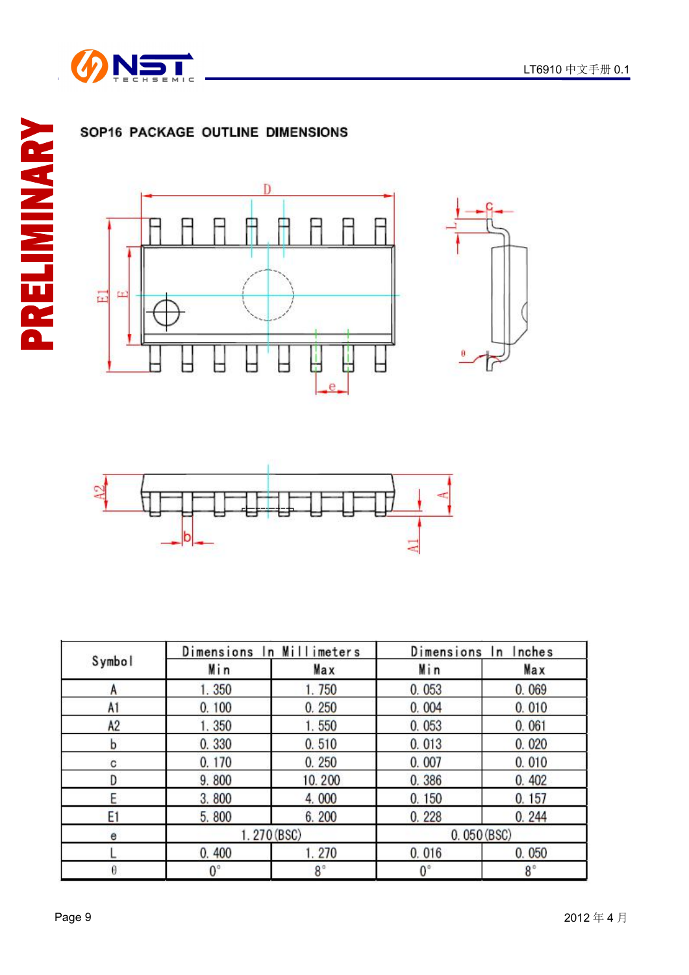









|                |             | Dimensions In Millimeters | Dimensions In | Inches     |
|----------------|-------------|---------------------------|---------------|------------|
| Symbol         | Min         | Max                       | Min           | Max        |
| А              | 1.350       | 1.750                     | 0.053         | 0.069      |
| A1             | 0.100       | 0.250                     | 0.004         | 0.010      |
| A <sub>2</sub> | 1.350       | 1.550                     | 0.053         | 0.061      |
| b              | 0.330       | 0.510                     | 0.013         | 0.020      |
| c              | 0.170       | 0.250                     | 0.007         | 0.010      |
|                | 9.800       | 10.200                    | 0.386         | 0.402      |
| F              | 3.800       | 4.000                     | 0.150         | 0.157      |
| E1             | 5.800       | 6.200                     | 0.228         | 0.244      |
| e              |             | 1.270 (BSC)               |               | 0.050(BSC) |
|                | 0.400       | 1.270                     | 0.016         | 0.050      |
| A              | $0^{\circ}$ | $8^\circ$                 | $0^{\circ}$   | $8^\circ$  |